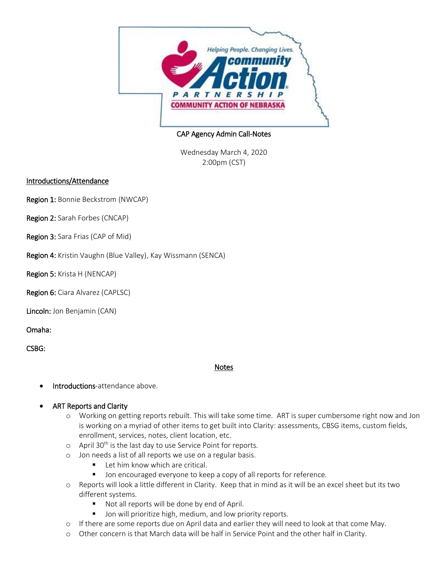

## CAP Agency Admin Call-Notes

Wednesday March 4, 2020 2:00pm (CST)

## Introductions/Attendance

Region 1: Bonnie Beckstrom (NWCAP)

Region 2: Sarah Forbes (CNCAP)

Region 3: Sara Frias (CAP of Mid)

Region 4: Kristin Vaughn (Blue Valley), Kay Wissmann (SENCA)

Region 5: Krista H (NENCAP)

Region 6: Ciara Alvarez (CAPLSC)

Lincoln: Jon Benjamin (CAN)

Omaha:

CSBG:

### Notes

- Introductions-attendance above.
- ART Reports and Clarity
	- o Working on getting reports rebuilt. This will take some time. ART is super cumbersome right now and Jon is working on a myriad of other items to get built into Clarity: assessments, CBSG items, custom fields, enrollment, services, notes, client location, etc.
	- $\circ$  April 30<sup>th</sup> is the last day to use Service Point for reports.
	- o Jon needs a list of all reports we use on a regular basis.
		- **Let him know which are critical.**
		- **Jon encouraged everyone to keep a copy of all reports for reference.**
	- o Reports will look a little different in Clarity. Keep that in mind as it will be an excel sheet but its two different systems.
		- Not all reports will be done by end of April.
		- **Jon will prioritize high, medium, and low priority reports.**
	- o If there are some reports due on April data and earlier they will need to look at that come May.
	- o Other concern is that March data will be half in Service Point and the other half in Clarity.